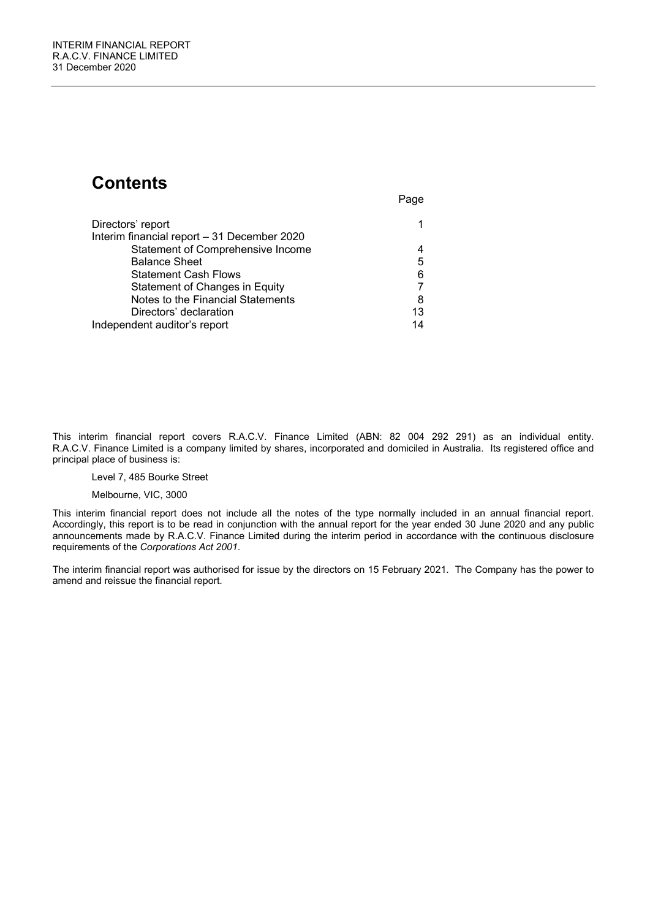# **Contents**

|  | Page |
|--|------|

| Directors' report                           |    |
|---------------------------------------------|----|
| Interim financial report - 31 December 2020 |    |
| Statement of Comprehensive Income           | 4  |
| <b>Balance Sheet</b>                        | 5  |
| <b>Statement Cash Flows</b>                 | 6  |
| Statement of Changes in Equity              |    |
| Notes to the Financial Statements           | 8  |
| Directors' declaration                      | 13 |
| Independent auditor's report                | 14 |

This interim financial report covers R.A.C.V. Finance Limited (ABN: 82 004 292 291) as an individual entity. R.A.C.V. Finance Limited is a company limited by shares, incorporated and domiciled in Australia. Its registered office and principal place of business is:

#### Level 7, 485 Bourke Street

Melbourne, VIC, 3000

This interim financial report does not include all the notes of the type normally included in an annual financial report. Accordingly, this report is to be read in conjunction with the annual report for the year ended 30 June 2020 and any public announcements made by R.A.C.V. Finance Limited during the interim period in accordance with the continuous disclosure requirements of the *Corporations Act 2001*.

The interim financial report was authorised for issue by the directors on 15 February 2021. The Company has the power to amend and reissue the financial report.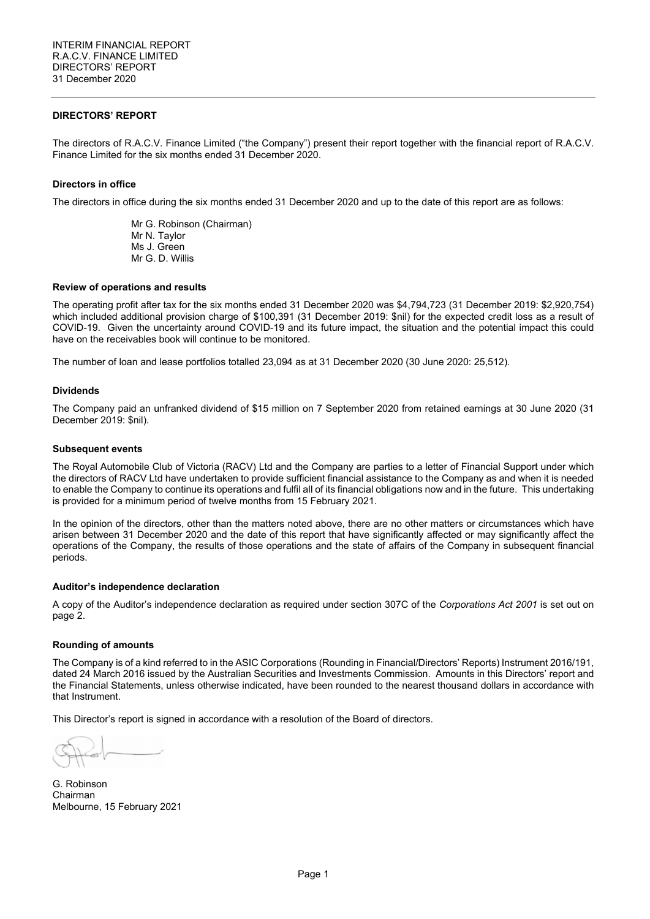### **DIRECTORS' REPORT**

The directors of R.A.C.V. Finance Limited ("the Company") present their report together with the financial report of R.A.C.V. Finance Limited for the six months ended 31 December 2020.

### **Directors in office**

The directors in office during the six months ended 31 December 2020 and up to the date of this report are as follows:

Mr G. Robinson (Chairman) Mr N. Taylor Ms J. Green Mr G. D. Willis

#### **Review of operations and results**

The operating profit after tax for the six months ended 31 December 2020 was \$4,794,723 (31 December 2019: \$2,920,754) which included additional provision charge of \$100,391 (31 December 2019: \$nil) for the expected credit loss as a result of COVID-19. Given the uncertainty around COVID-19 and its future impact, the situation and the potential impact this could have on the receivables book will continue to be monitored.

The number of loan and lease portfolios totalled 23,094 as at 31 December 2020 (30 June 2020: 25,512).

#### **Dividends**

The Company paid an unfranked dividend of \$15 million on 7 September 2020 from retained earnings at 30 June 2020 (31 December 2019: \$nil).

#### **Subsequent events**

The Royal Automobile Club of Victoria (RACV) Ltd and the Company are parties to a letter of Financial Support under which the directors of RACV Ltd have undertaken to provide sufficient financial assistance to the Company as and when it is needed to enable the Company to continue its operations and fulfil all of its financial obligations now and in the future. This undertaking is provided for a minimum period of twelve months from 15 February 2021.

In the opinion of the directors, other than the matters noted above, there are no other matters or circumstances which have arisen between 31 December 2020 and the date of this report that have significantly affected or may significantly affect the operations of the Company, the results of those operations and the state of affairs of the Company in subsequent financial periods.

#### **Auditor's independence declaration**

A copy of the Auditor's independence declaration as required under section 307C of the *Corporations Act 2001* is set out on page 2.

#### **Rounding of amounts**

The Company is of a kind referred to in the ASIC Corporations (Rounding in Financial/Directors' Reports) Instrument 2016/191, dated 24 March 2016 issued by the Australian Securities and Investments Commission. Amounts in this Directors' report and the Financial Statements, unless otherwise indicated, have been rounded to the nearest thousand dollars in accordance with that Instrument.

This Director's report is signed in accordance with a resolution of the Board of directors.

G. Robinson Chairman Melbourne, 15 February 2021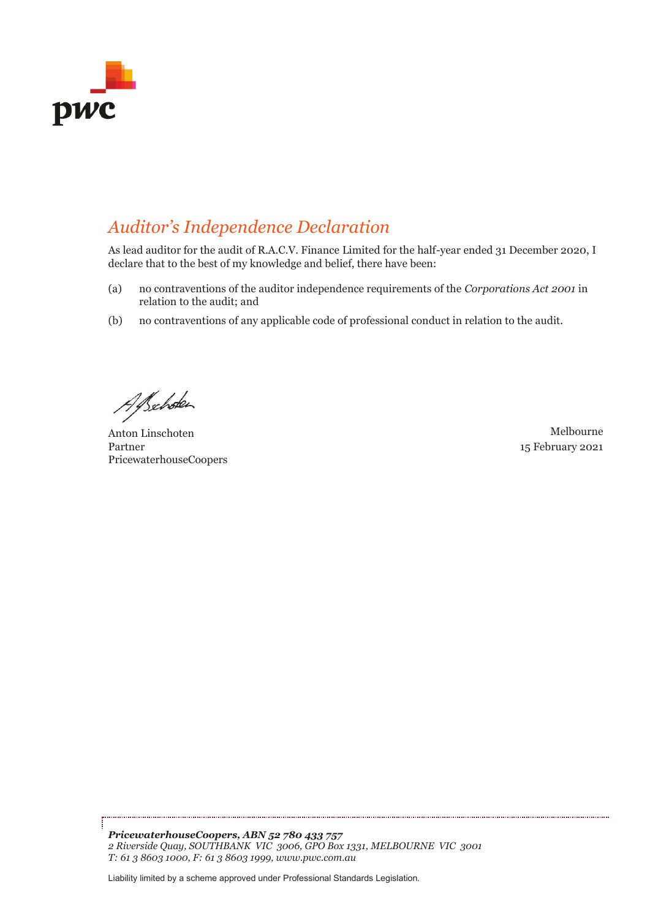

# *Auditor's Independence Declaration*

As lead auditor for the audit of R.A.C.V. Finance Limited for the half-year ended 31 December 2020, I declare that to the best of my knowledge and belief, there have been:

- (a) no contraventions of the auditor independence requirements of the *Corporations Act 2001* in relation to the audit; and
- (b) no contraventions of any applicable code of professional conduct in relation to the audit.

Alscholen

Anton Linschoten Melbourne Partner PricewaterhouseCoopers

15 February 2021

*PricewaterhouseCoopers, ABN 52 780 433 757 2 Riverside Quay, SOUTHBANK VIC 3006, GPO Box 1331, MELBOURNE VIC 3001 T: 61 3 8603 1000, F: 61 3 8603 1999, www.pwc.com.au* 

Liability limited by a scheme approved under Professional Standards Legislation.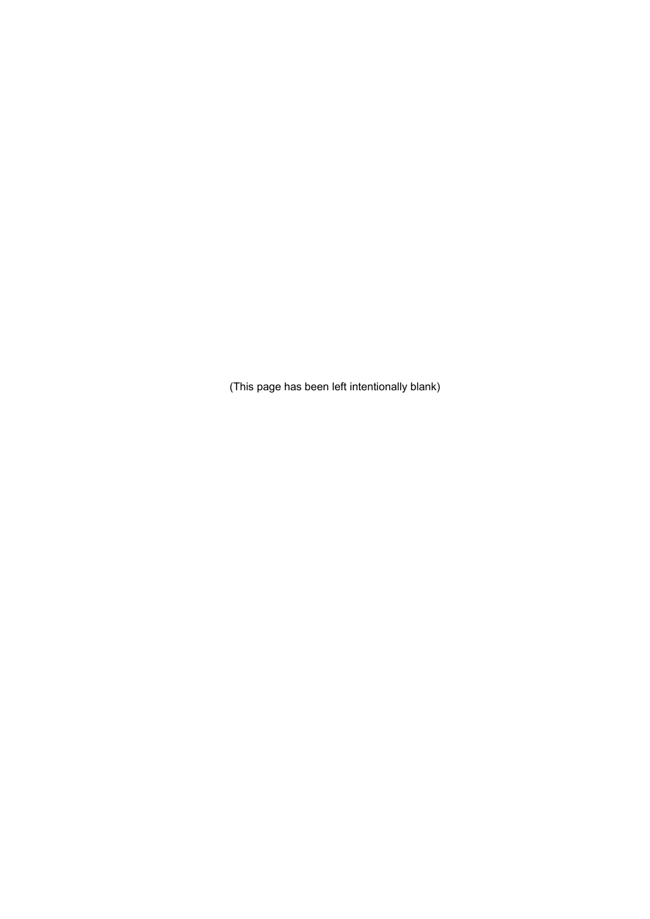(This page has been left intentionally blank)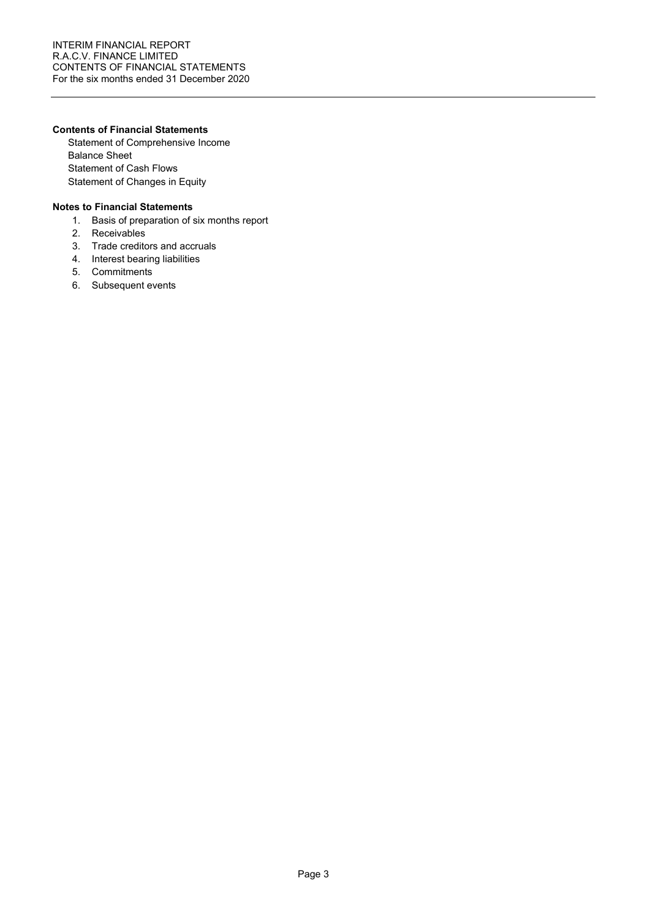## **Contents of Financial Statements**

Statement of Comprehensive Income Balance Sheet Statement of Cash Flows Statement of Changes in Equity

## **Notes to Financial Statements**

- 1. Basis of preparation of six months report
- 2. Receivables
- 3. Trade creditors and accruals
- 4. Interest bearing liabilities
- 5. Commitments
- 6. Subsequent events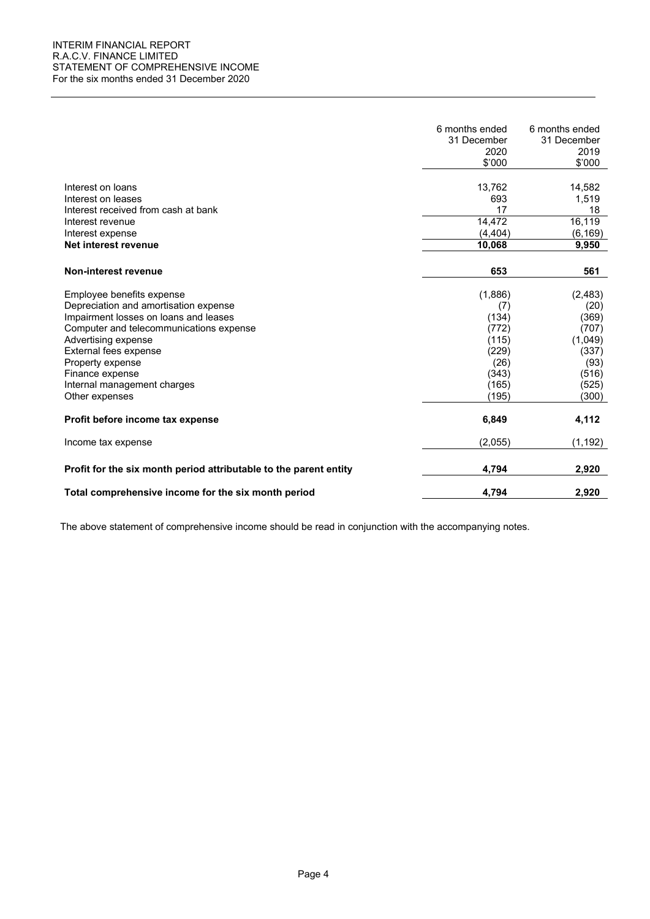### INTERIM FINANCIAL REPORT R.A.C.V. FINANCE LIMITED STATEMENT OF COMPREHENSIVE INCOME For the six months ended 31 December 2020

|                                                                                                                                                                                                                                                                                                | 6 months ended<br>31 December<br>2020<br>\$'000                                       | 6 months ended<br>31 December<br>2019<br>\$'000                                           |
|------------------------------------------------------------------------------------------------------------------------------------------------------------------------------------------------------------------------------------------------------------------------------------------------|---------------------------------------------------------------------------------------|-------------------------------------------------------------------------------------------|
| Interest on loans<br>Interest on leases<br>Interest received from cash at bank<br>Interest revenue<br>Interest expense<br>Net interest revenue                                                                                                                                                 | 13,762<br>693<br>17<br>14.472<br>(4, 404)<br>10,068                                   | 14,582<br>1,519<br>18<br>16,119<br>(6, 169)<br>9,950                                      |
| Non-interest revenue                                                                                                                                                                                                                                                                           | 653                                                                                   | 561                                                                                       |
| Employee benefits expense<br>Depreciation and amortisation expense<br>Impairment losses on loans and leases<br>Computer and telecommunications expense<br>Advertising expense<br>External fees expense<br>Property expense<br>Finance expense<br>Internal management charges<br>Other expenses | (1,886)<br>(7)<br>(134)<br>(772)<br>(115)<br>(229)<br>(26)<br>(343)<br>(165)<br>(195) | (2, 483)<br>(20)<br>(369)<br>(707)<br>(1,049)<br>(337)<br>(93)<br>(516)<br>(525)<br>(300) |
| Profit before income tax expense                                                                                                                                                                                                                                                               | 6,849                                                                                 | 4,112                                                                                     |
| Income tax expense                                                                                                                                                                                                                                                                             | (2,055)                                                                               | (1, 192)                                                                                  |
| Profit for the six month period attributable to the parent entity                                                                                                                                                                                                                              | 4.794                                                                                 | 2,920                                                                                     |
| Total comprehensive income for the six month period                                                                                                                                                                                                                                            | 4,794                                                                                 | 2,920                                                                                     |

The above statement of comprehensive income should be read in conjunction with the accompanying notes.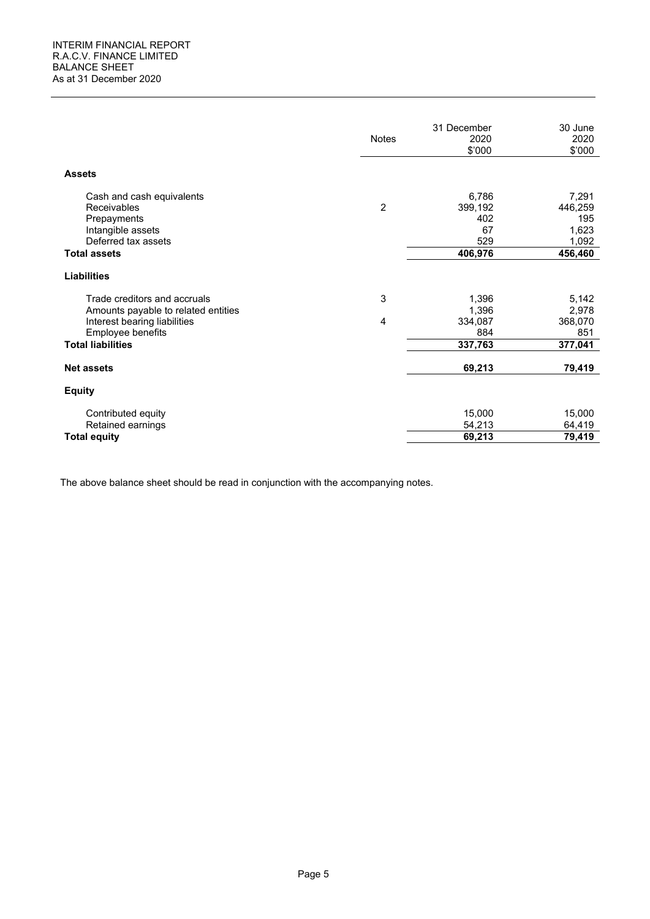| <b>Assets</b>                       | <b>Notes</b>   | 31 December<br>2020<br>\$'000 | 30 June<br>2020<br>\$'000 |
|-------------------------------------|----------------|-------------------------------|---------------------------|
|                                     |                |                               |                           |
| Cash and cash equivalents           |                | 6,786                         | 7,291                     |
| Receivables                         | $\overline{2}$ | 399,192                       | 446,259                   |
| Prepayments                         |                | 402                           | 195                       |
| Intangible assets                   |                | 67                            | 1,623                     |
| Deferred tax assets                 |                | 529                           | 1,092                     |
| <b>Total assets</b>                 |                | 406,976                       | 456,460                   |
| <b>Liabilities</b>                  |                |                               |                           |
| Trade creditors and accruals        | 3              | 1,396                         | 5,142                     |
| Amounts payable to related entities |                | 1,396                         | 2,978                     |
| Interest bearing liabilities        | 4              | 334,087                       | 368,070                   |
| Employee benefits                   |                | 884                           | 851                       |
| <b>Total liabilities</b>            |                | 337,763                       | 377,041                   |
| <b>Net assets</b>                   |                | 69,213                        | 79,419                    |
| <b>Equity</b>                       |                |                               |                           |
| Contributed equity                  |                | 15,000                        | 15,000                    |
| Retained earnings                   |                | 54,213                        | 64,419                    |
| <b>Total equity</b>                 |                | 69,213                        | 79,419                    |

The above balance sheet should be read in conjunction with the accompanying notes.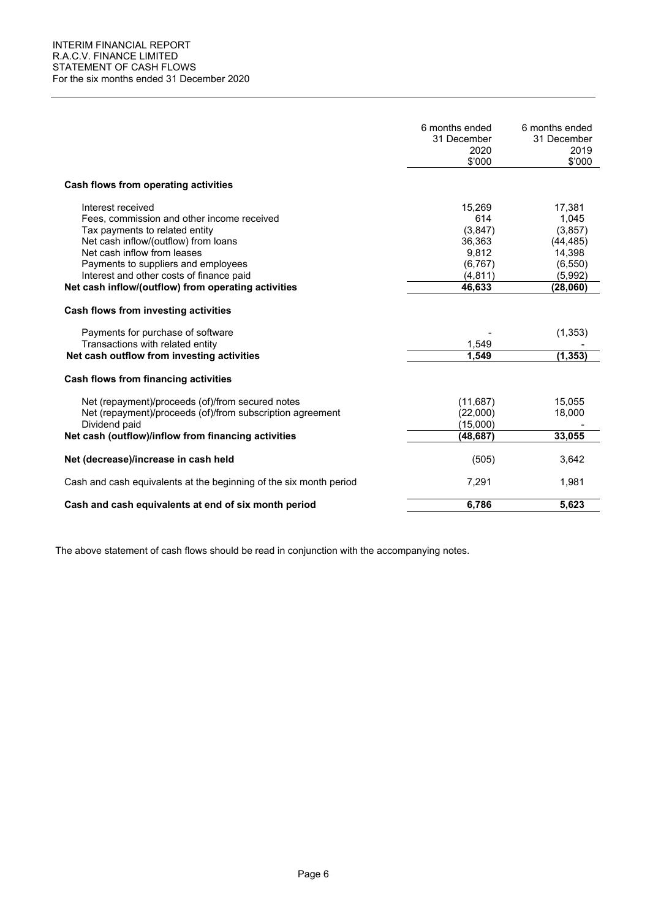|                                                                                                                                                                                                                                                                                                                    | 6 months ended<br>31 December<br>2020<br>\$'000                               | 6 months ended<br>31 December<br>2019<br>\$'000                                       |
|--------------------------------------------------------------------------------------------------------------------------------------------------------------------------------------------------------------------------------------------------------------------------------------------------------------------|-------------------------------------------------------------------------------|---------------------------------------------------------------------------------------|
| Cash flows from operating activities                                                                                                                                                                                                                                                                               |                                                                               |                                                                                       |
| Interest received<br>Fees, commission and other income received<br>Tax payments to related entity<br>Net cash inflow/(outflow) from loans<br>Net cash inflow from leases<br>Payments to suppliers and employees<br>Interest and other costs of finance paid<br>Net cash inflow/(outflow) from operating activities | 15,269<br>614<br>(3,847)<br>36,363<br>9,812<br>(6, 767)<br>(4, 811)<br>46,633 | 17,381<br>1,045<br>(3, 857)<br>(44, 485)<br>14,398<br>(6, 550)<br>(5,992)<br>(28,060) |
| Cash flows from investing activities                                                                                                                                                                                                                                                                               |                                                                               |                                                                                       |
| Payments for purchase of software<br>Transactions with related entity<br>Net cash outflow from investing activities                                                                                                                                                                                                | 1,549<br>1.549                                                                | (1, 353)<br>(1, 353)                                                                  |
| Cash flows from financing activities                                                                                                                                                                                                                                                                               |                                                                               |                                                                                       |
| Net (repayment)/proceeds (of)/from secured notes<br>Net (repayment)/proceeds (of)/from subscription agreement<br>Dividend paid<br>Net cash (outflow)/inflow from financing activities                                                                                                                              | (11,687)<br>(22,000)<br>(15,000)<br>(48,687)                                  | 15,055<br>18,000<br>33,055                                                            |
|                                                                                                                                                                                                                                                                                                                    |                                                                               |                                                                                       |
| Net (decrease)/increase in cash held                                                                                                                                                                                                                                                                               | (505)                                                                         | 3,642                                                                                 |
| Cash and cash equivalents at the beginning of the six month period                                                                                                                                                                                                                                                 | 7,291                                                                         | 1,981                                                                                 |
| Cash and cash equivalents at end of six month period                                                                                                                                                                                                                                                               | 6,786                                                                         | 5,623                                                                                 |

The above statement of cash flows should be read in conjunction with the accompanying notes.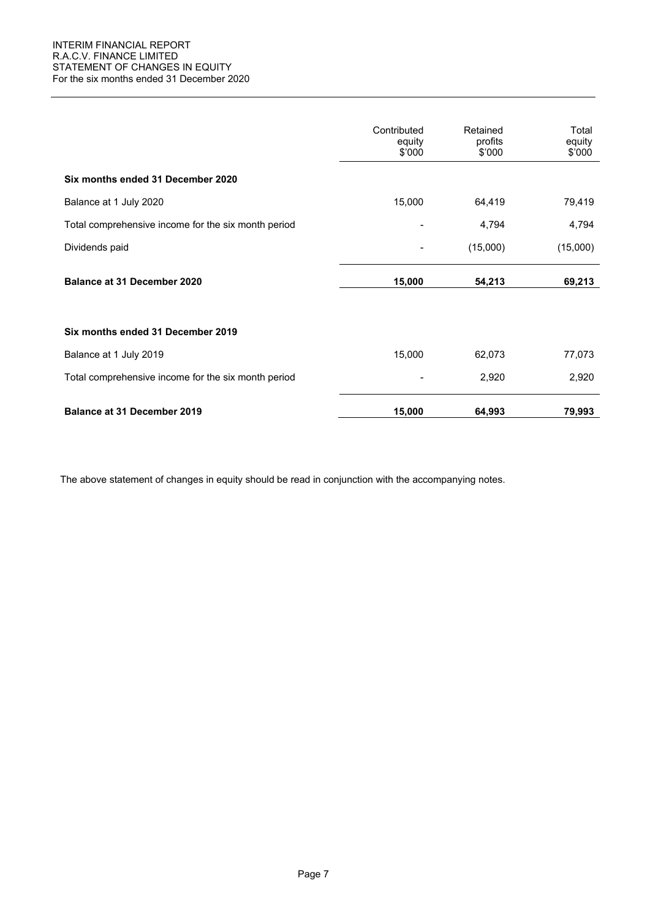### INTERIM FINANCIAL REPORT R.A.C.V. FINANCE LIMITED STATEMENT OF CHANGES IN EQUITY For the six months ended 31 December 2020

|                                                     | Contributed | Retained | Total    |
|-----------------------------------------------------|-------------|----------|----------|
|                                                     | equity      | profits  | equity   |
|                                                     | \$'000      | \$'000   | \$'000   |
|                                                     |             |          |          |
| Six months ended 31 December 2020                   |             |          |          |
| Balance at 1 July 2020                              | 15,000      | 64,419   | 79,419   |
| Total comprehensive income for the six month period |             | 4,794    | 4,794    |
| Dividends paid                                      |             | (15,000) | (15,000) |
| <b>Balance at 31 December 2020</b>                  | 15,000      | 54,213   | 69,213   |
|                                                     |             |          |          |
| Six months ended 31 December 2019                   |             |          |          |
| Balance at 1 July 2019                              | 15,000      | 62,073   | 77,073   |
| Total comprehensive income for the six month period |             | 2,920    | 2,920    |
| <b>Balance at 31 December 2019</b>                  | 15,000      | 64,993   | 79,993   |

The above statement of changes in equity should be read in conjunction with the accompanying notes.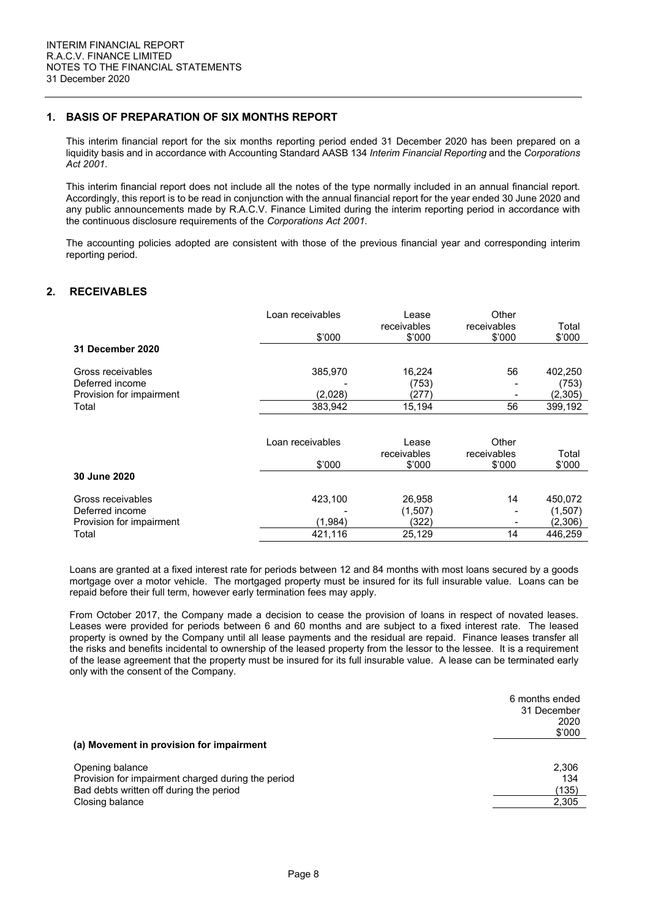## **1. BASIS OF PREPARATION OF SIX MONTHS REPORT**

This interim financial report for the six months reporting period ended 31 December 2020 has been prepared on a liquidity basis and in accordance with Accounting Standard AASB 134 *Interim Financial Reporting* and the *Corporations Act 2001*.

This interim financial report does not include all the notes of the type normally included in an annual financial report. Accordingly, this report is to be read in conjunction with the annual financial report for the year ended 30 June 2020 and any public announcements made by R.A.C.V. Finance Limited during the interim reporting period in accordance with the continuous disclosure requirements of the *Corporations Act 2001*.

The accounting policies adopted are consistent with those of the previous financial year and corresponding interim reporting period.

## **2. RECEIVABLES**

|                                                                  | Loan receivables<br>\$'000 | Lease<br>receivables<br>\$'000 | Other<br>receivables<br>\$'000 | Total<br>$$^{\prime}000$      |
|------------------------------------------------------------------|----------------------------|--------------------------------|--------------------------------|-------------------------------|
| 31 December 2020                                                 |                            |                                |                                |                               |
| Gross receivables<br>Deferred income<br>Provision for impairment | 385,970<br>(2,028)         | 16,224<br>(753)<br>(277)       | 56                             | 402,250<br>(753)<br>(2,305)   |
| Total                                                            | 383,942                    | 15,194                         | 56                             | 399,192                       |
|                                                                  | Loan receivables           | Lease<br>receivables           | Other<br>receivables           | Total                         |
| 30 June 2020                                                     | \$'000                     | \$'000                         | \$'000                         | \$'000                        |
|                                                                  |                            |                                |                                |                               |
| Gross receivables<br>Deferred income<br>Provision for impairment | 423,100<br>(1,984)         | 26,958<br>(1,507)<br>(322)     | 14                             | 450,072<br>(1,507)<br>(2,306) |
| Total                                                            | 421,116                    | 25,129                         | 14                             | 446,259                       |

Loans are granted at a fixed interest rate for periods between 12 and 84 months with most loans secured by a goods mortgage over a motor vehicle. The mortgaged property must be insured for its full insurable value. Loans can be repaid before their full term, however early termination fees may apply.

From October 2017, the Company made a decision to cease the provision of loans in respect of novated leases. Leases were provided for periods between 6 and 60 months and are subject to a fixed interest rate. The leased property is owned by the Company until all lease payments and the residual are repaid. Finance leases transfer all the risks and benefits incidental to ownership of the leased property from the lessor to the lessee. It is a requirement of the lease agreement that the property must be insured for its full insurable value. A lease can be terminated early only with the consent of the Company.

| (a) Movement in provision for impairment           | 6 months ended<br>31 December<br>2020<br>\$'000 |
|----------------------------------------------------|-------------------------------------------------|
| Opening balance                                    | 2,306                                           |
| Provision for impairment charged during the period | 134                                             |
| Bad debts written off during the period            | (135)                                           |
| Closing balance                                    | 2,305                                           |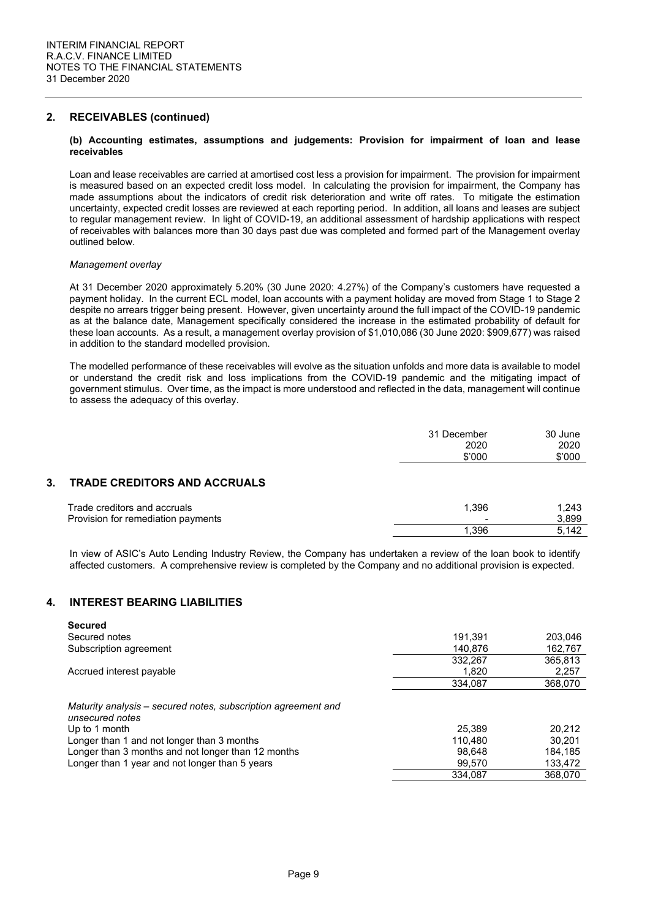## **2. RECEIVABLES (continued)**

#### **(b) Accounting estimates, assumptions and judgements: Provision for impairment of loan and lease receivables**

Loan and lease receivables are carried at amortised cost less a provision for impairment. The provision for impairment is measured based on an expected credit loss model. In calculating the provision for impairment, the Company has made assumptions about the indicators of credit risk deterioration and write off rates. To mitigate the estimation uncertainty, expected credit losses are reviewed at each reporting period. In addition, all loans and leases are subject to regular management review. In light of COVID-19, an additional assessment of hardship applications with respect of receivables with balances more than 30 days past due was completed and formed part of the Management overlay outlined below.

#### *Management overlay*

At 31 December 2020 approximately 5.20% (30 June 2020: 4.27%) of the Company's customers have requested a payment holiday. In the current ECL model, loan accounts with a payment holiday are moved from Stage 1 to Stage 2 despite no arrears trigger being present. However, given uncertainty around the full impact of the COVID-19 pandemic as at the balance date, Management specifically considered the increase in the estimated probability of default for these loan accounts. As a result, a management overlay provision of \$1,010,086 (30 June 2020: \$909,677) was raised in addition to the standard modelled provision.

The modelled performance of these receivables will evolve as the situation unfolds and more data is available to model or understand the credit risk and loss implications from the COVID-19 pandemic and the mitigating impact of government stimulus. Over time, as the impact is more understood and reflected in the data, management will continue to assess the adequacy of this overlay.

| 31 December | 30 June |
|-------------|---------|
| 2020        | 2020    |
| \$'000      | \$'000  |

## **3. TRADE CREDITORS AND ACCRUALS**

| Trade creditors and accruals       | 1.396                    | 1.243 |
|------------------------------------|--------------------------|-------|
| Provision for remediation payments | $\overline{\phantom{a}}$ | 3.899 |
|                                    | .396                     | 5.142 |

In view of ASIC's Auto Lending Industry Review, the Company has undertaken a review of the loan book to identify affected customers. A comprehensive review is completed by the Company and no additional provision is expected.

## **4. INTEREST BEARING LIABILITIES**

| <b>Secured</b>                                                                                                                                                                                                                                          |                                                  |                                                   |
|---------------------------------------------------------------------------------------------------------------------------------------------------------------------------------------------------------------------------------------------------------|--------------------------------------------------|---------------------------------------------------|
| Secured notes                                                                                                                                                                                                                                           | 191.391                                          | 203,046                                           |
| Subscription agreement                                                                                                                                                                                                                                  | 140.876                                          | 162,767                                           |
|                                                                                                                                                                                                                                                         | 332,267                                          | 365,813                                           |
| Accrued interest payable                                                                                                                                                                                                                                | 1.820                                            | 2,257                                             |
|                                                                                                                                                                                                                                                         | 334,087                                          | 368,070                                           |
| Maturity analysis – secured notes, subscription agreement and<br>unsecured notes<br>Up to 1 month<br>Longer than 1 and not longer than 3 months<br>Longer than 3 months and not longer than 12 months<br>Longer than 1 year and not longer than 5 years | 25.389<br>110.480<br>98.648<br>99.570<br>334.087 | 20,212<br>30.201<br>184.185<br>133,472<br>368.070 |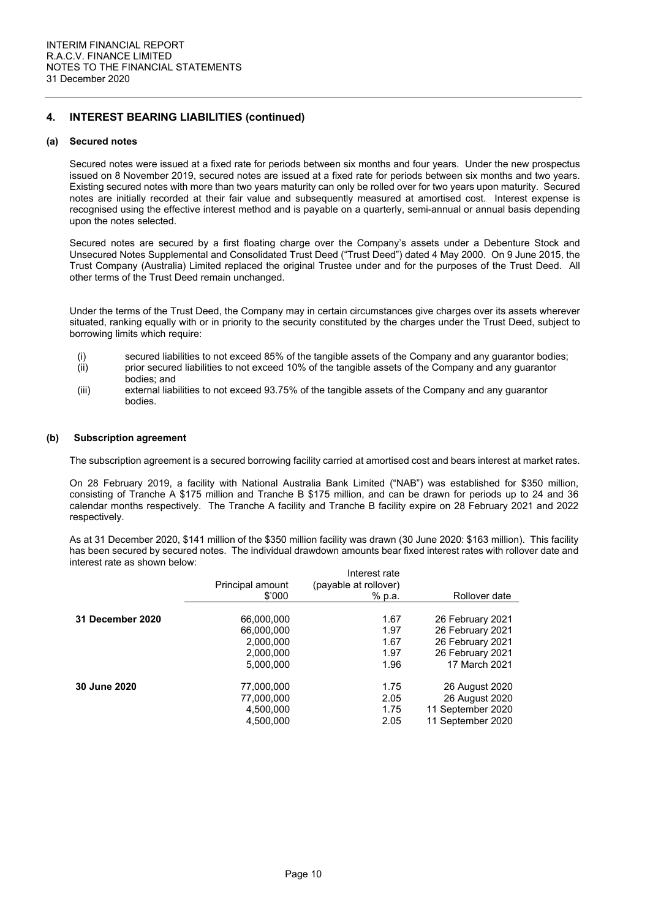## **4. INTEREST BEARING LIABILITIES (continued)**

#### **(a) Secured notes**

Secured notes were issued at a fixed rate for periods between six months and four years. Under the new prospectus issued on 8 November 2019, secured notes are issued at a fixed rate for periods between six months and two years. Existing secured notes with more than two years maturity can only be rolled over for two years upon maturity. Secured notes are initially recorded at their fair value and subsequently measured at amortised cost. Interest expense is recognised using the effective interest method and is payable on a quarterly, semi-annual or annual basis depending upon the notes selected.

Secured notes are secured by a first floating charge over the Company's assets under a Debenture Stock and Unsecured Notes Supplemental and Consolidated Trust Deed ("Trust Deed") dated 4 May 2000. On 9 June 2015, the Trust Company (Australia) Limited replaced the original Trustee under and for the purposes of the Trust Deed. All other terms of the Trust Deed remain unchanged.

Under the terms of the Trust Deed, the Company may in certain circumstances give charges over its assets wherever situated, ranking equally with or in priority to the security constituted by the charges under the Trust Deed, subject to borrowing limits which require:

- (i) secured liabilities to not exceed 85% of the tangible assets of the Company and any guarantor bodies;<br>(ii) prior secured liabilities to not exceed 10% of the tangible assets of the Company and any guarantor
- prior secured liabilities to not exceed 10% of the tangible assets of the Company and any guarantor bodies; and
- (iii) external liabilities to not exceed 93.75% of the tangible assets of the Company and any guarantor bodies.

#### **(b) Subscription agreement**

The subscription agreement is a secured borrowing facility carried at amortised cost and bears interest at market rates.

On 28 February 2019, a facility with National Australia Bank Limited ("NAB") was established for \$350 million, consisting of Tranche A \$175 million and Tranche B \$175 million, and can be drawn for periods up to 24 and 36 calendar months respectively. The Tranche A facility and Tranche B facility expire on 28 February 2021 and 2022 respectively.

As at 31 December 2020, \$141 million of the \$350 million facility was drawn (30 June 2020: \$163 million). This facility has been secured by secured notes. The individual drawdown amounts bear fixed interest rates with rollover date and interest rate as shown below:

|                         |                  | Interest rate         |                   |
|-------------------------|------------------|-----------------------|-------------------|
|                         | Principal amount | (payable at rollover) |                   |
|                         | \$'000           | % p.a.                | Rollover date     |
|                         |                  |                       |                   |
| <b>31 December 2020</b> | 66,000,000       | 1.67                  | 26 February 2021  |
|                         | 66,000,000       | 1.97                  | 26 February 2021  |
|                         | 2,000,000        | 1.67                  | 26 February 2021  |
|                         | 2,000,000        | 1.97                  | 26 February 2021  |
|                         | 5,000,000        | 1.96                  | 17 March 2021     |
| 30 June 2020            | 77,000,000       | 1.75                  | 26 August 2020    |
|                         | 77,000,000       | 2.05                  | 26 August 2020    |
|                         | 4,500,000        | 1.75                  | 11 September 2020 |
|                         | 4,500,000        | 2.05                  | 11 September 2020 |
|                         |                  |                       |                   |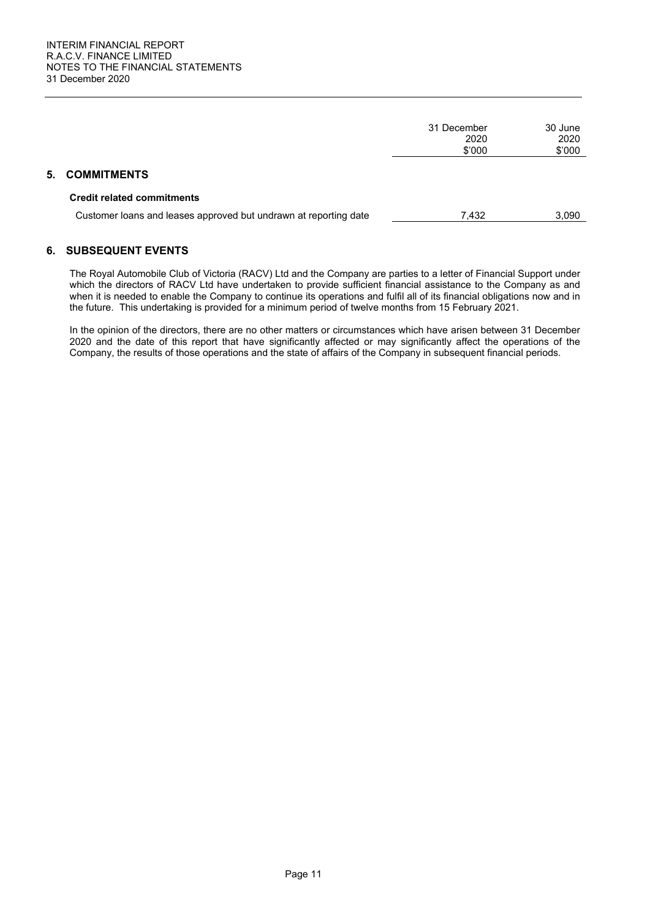|  |                                                                  | 31 December<br>2020<br>\$'000 | 30 June<br>2020<br>\$'000 |
|--|------------------------------------------------------------------|-------------------------------|---------------------------|
|  | <b>5. COMMITMENTS</b>                                            |                               |                           |
|  | <b>Credit related commitments</b>                                |                               |                           |
|  | Customer loans and leases approved but undrawn at reporting date | 7,432                         | 3,090                     |

## **6. SUBSEQUENT EVENTS**

The Royal Automobile Club of Victoria (RACV) Ltd and the Company are parties to a letter of Financial Support under which the directors of RACV Ltd have undertaken to provide sufficient financial assistance to the Company as and when it is needed to enable the Company to continue its operations and fulfil all of its financial obligations now and in the future. This undertaking is provided for a minimum period of twelve months from 15 February 2021.

In the opinion of the directors, there are no other matters or circumstances which have arisen between 31 December 2020 and the date of this report that have significantly affected or may significantly affect the operations of the Company, the results of those operations and the state of affairs of the Company in subsequent financial periods.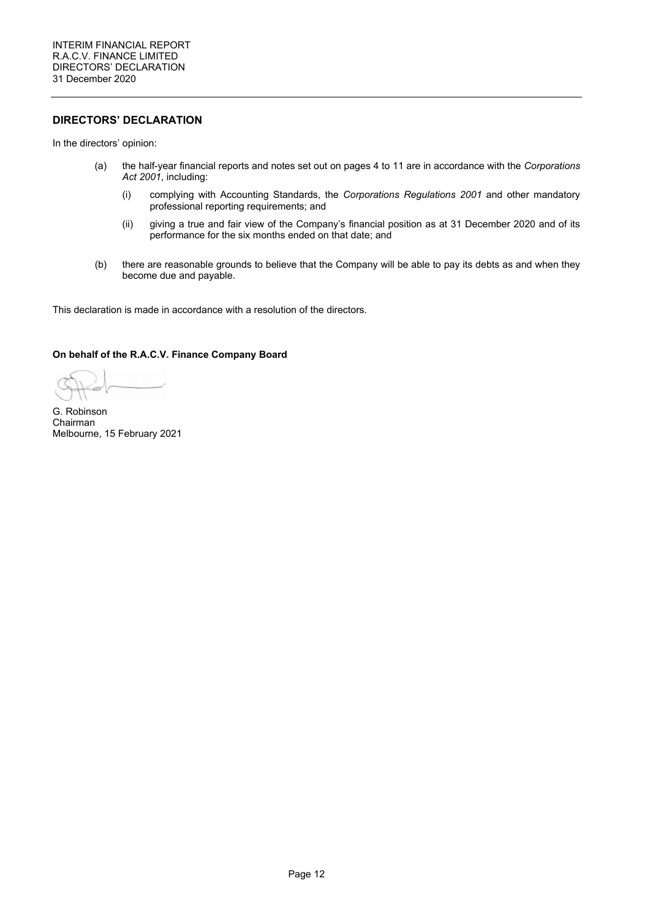## **DIRECTORS' DECLARATION**

In the directors' opinion:

- (a) the half-year financial reports and notes set out on pages 4 to 11 are in accordance with the *Corporations Act 2001*, including:
	- (i) complying with Accounting Standards, the *Corporations Regulations 2001* and other mandatory professional reporting requirements; and
	- (ii) giving a true and fair view of the Company's financial position as at 31 December 2020 and of its performance for the six months ended on that date; and
- (b) there are reasonable grounds to believe that the Company will be able to pay its debts as and when they become due and payable.

This declaration is made in accordance with a resolution of the directors.

### **On behalf of the R.A.C.V. Finance Company Board**

G. Robinson Chairman Melbourne, 15 February 2021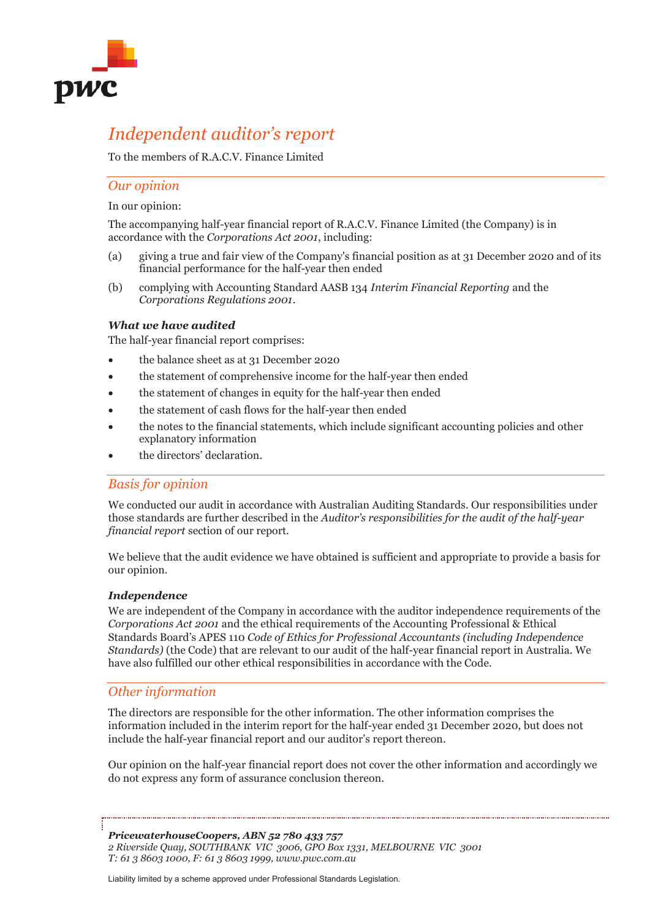

# *Independent auditor's report*

To the members of R.A.C.V. Finance Limited

## *Our opinion*

## In our opinion:

The accompanying half-year financial report of R.A.C.V. Finance Limited (the Company) is in accordance with the *Corporations Act 2001*, including:

- (a) giving a true and fair view of the Company's financial position as at 31 December 2020 and of its financial performance for the half-year then ended
- (b) complying with Accounting Standard AASB 134 *Interim Financial Reporting* and the *Corporations Regulations 2001*.

## *What we have audited*

The half-year financial report comprises:

- x the balance sheet as at 31 December 2020
- the statement of comprehensive income for the half-year then ended
- the statement of changes in equity for the half-year then ended
- the statement of cash flows for the half-year then ended
- x the notes to the financial statements, which include significant accounting policies and other explanatory information
- the directors' declaration.

## *Basis for opinion*

We conducted our audit in accordance with Australian Auditing Standards. Our responsibilities under those standards are further described in the *Auditor's responsibilities for the audit of the half-year financial report* section of our report.

We believe that the audit evidence we have obtained is sufficient and appropriate to provide a basis for our opinion.

## *Independence*

We are independent of the Company in accordance with the auditor independence requirements of the *Corporations Act 2001* and the ethical requirements of the Accounting Professional & Ethical Standards Board's APES 110 *Code of Ethics for Professional Accountants (including Independence Standards)* (the Code) that are relevant to our audit of the half-year financial report in Australia. We have also fulfilled our other ethical responsibilities in accordance with the Code.

## *Other information*

The directors are responsible for the other information. The other information comprises the information included in the interim report for the half-year ended 31 December 2020, but does not include the half-year financial report and our auditor's report thereon.

Our opinion on the half-year financial report does not cover the other information and accordingly we do not express any form of assurance conclusion thereon.

*PricewaterhouseCoopers, ABN 52 780 433 757 2 Riverside Quay, SOUTHBANK VIC 3006, GPO Box 1331, MELBOURNE VIC 3001 T: 61 3 8603 1000, F: 61 3 8603 1999, www.pwc.com.au* 

Liability limited by a scheme approved under Professional Standards Legislation.